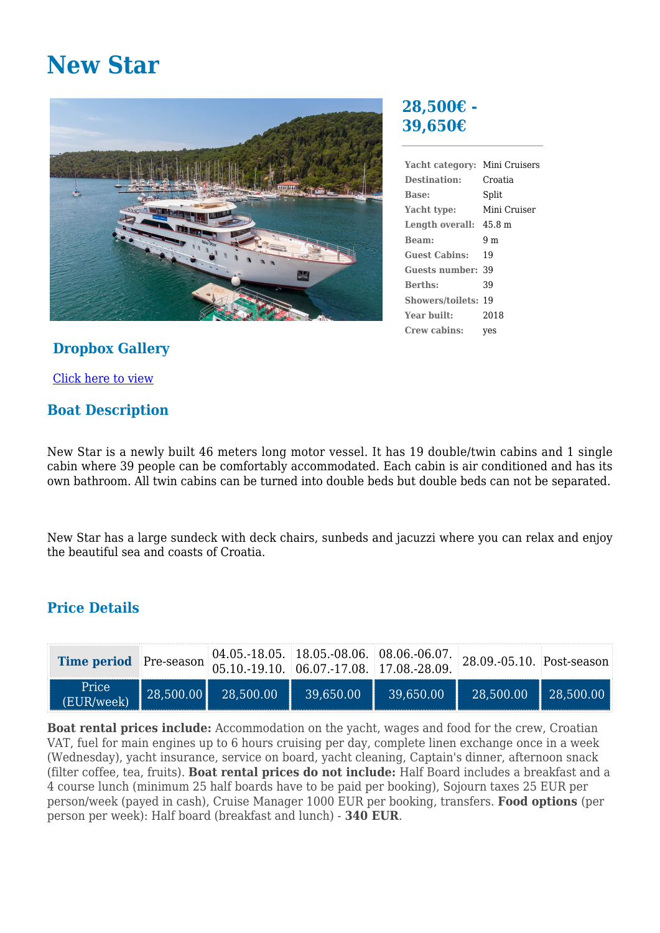# **New Star**



## **Dropbox Gallery**

[Click here to view](https://www.dropbox.com/sh/hjderr740hi6o0n/AAA9LncEXVMY5NTxOSv8m4zTa?dl=0)

## **Boat Description**

**28,500€ - 39,650€**

| Yacht category:         | Mini Cruisers |
|-------------------------|---------------|
| Destination:            | Croatia       |
| Base:                   | Split         |
| Yacht type:             | Mini Cruiser  |
| Length overall: 45.8 m  |               |
| <b>Beam:</b>            | 9 m           |
| <b>Guest Cabins:</b>    | 19            |
| Guests number: .        | 39            |
| <b>Berths:</b>          | 39            |
| <b>Showers/toilets:</b> | 19            |
| Year built:             | 2018          |
| Crew cabins:            | ves           |

New Star is a newly built 46 meters long motor vessel. It has 19 double/twin cabins and 1 single cabin where 39 people can be comfortably accommodated. Each cabin is air conditioned and has its own bathroom. All twin cabins can be turned into double beds but double beds can not be separated.

New Star has a large sundeck with deck chairs, sunbeds and jacuzzi where you can relax and enjoy the beautiful sea and coasts of Croatia.

## **Price Details**

| Time period Pre-season 05.10.-19.10. 06.07.-17.08. 17.08.-28.09. | 04.05.-18.05. 18.05.-08.06. 08.06.-06.07. 28.09.-05.10. Post-season                            |           |            |            |
|------------------------------------------------------------------|------------------------------------------------------------------------------------------------|-----------|------------|------------|
| Price<br>(EUR/week)                                              | $\begin{array}{ c c c c c c c c } \hline 28,500.00 & 28,500.00 & 39,650.00 \hline \end{array}$ | 39.650.00 | 128,500.00 | 128,500.00 |

**Boat rental prices include:** Accommodation on the yacht, wages and food for the crew, Croatian VAT, fuel for main engines up to 6 hours cruising per day, complete linen exchange once in a week (Wednesday), yacht insurance, service on board, yacht cleaning, Captain's dinner, afternoon snack (filter coffee, tea, fruits). **Boat rental prices do not include:** Half Board includes a breakfast and a 4 course lunch (minimum 25 half boards have to be paid per booking), Sojourn taxes 25 EUR per person/week (payed in cash), Cruise Manager 1000 EUR per booking, transfers. **Food options** (per person per week): Half board (breakfast and lunch) - **340 EUR**.